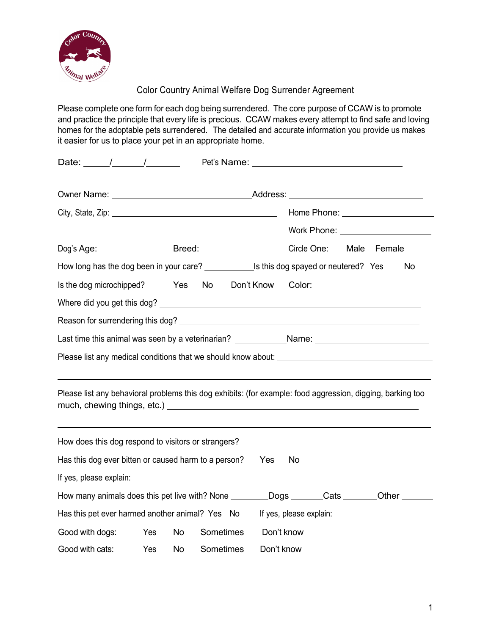

Color Country Animal Welfare Dog Surrender Agreement

Please complete one form for each dog being surrendered. The core purpose of CCAW is to promote and practice the principle that every life is precious. CCAW makes every attempt to find safe and loving homes for the adoptable pets surrendered. The detailed and accurate information you provide us makes it easier for us to place your pet in an appropriate home.

| Date: $\frac{1}{\sqrt{2\pi}}$                                                                                                                                                                                                        |     |           |           |               |            | Pet's Name: Name: Name and Name and Name and Name and Name and Name and Name and Name and Name and Name and Na |  |                                    |
|--------------------------------------------------------------------------------------------------------------------------------------------------------------------------------------------------------------------------------------|-----|-----------|-----------|---------------|------------|----------------------------------------------------------------------------------------------------------------|--|------------------------------------|
| Owner Name: Name: Name and Address: Name and Address: Name and Address: Name and Address: Name and Address: Name and Address: Name and Address: Name and Address: Name and Address: Name and Address: Name and Address: Name a       |     |           |           |               |            |                                                                                                                |  |                                    |
|                                                                                                                                                                                                                                      |     |           |           |               |            |                                                                                                                |  |                                    |
|                                                                                                                                                                                                                                      |     |           |           |               |            |                                                                                                                |  | Work Phone: ______________________ |
| Dog's Age: ________________  Breed: _____________________Circle One: Male Female                                                                                                                                                     |     |           |           |               |            |                                                                                                                |  |                                    |
| How long has the dog been in your care? _________________Is this dog spayed or neutered? Yes                                                                                                                                         |     |           |           |               |            |                                                                                                                |  | <b>No</b>                          |
| Is the dog microchipped?                                                                                                                                                                                                             |     | Yes       |           | No Don't Know |            |                                                                                                                |  |                                    |
|                                                                                                                                                                                                                                      |     |           |           |               |            |                                                                                                                |  |                                    |
|                                                                                                                                                                                                                                      |     |           |           |               |            |                                                                                                                |  |                                    |
| Last time this animal was seen by a veterinarian? ______________Name: ______________________________                                                                                                                                 |     |           |           |               |            |                                                                                                                |  |                                    |
|                                                                                                                                                                                                                                      |     |           |           |               |            |                                                                                                                |  |                                    |
| Please list any behavioral problems this dog exhibits: (for example: food aggression, digging, barking too                                                                                                                           |     |           |           |               |            |                                                                                                                |  |                                    |
| How does this dog respond to visitors or strangers? ____________________________                                                                                                                                                     |     |           |           |               |            |                                                                                                                |  |                                    |
| Has this dog ever bitten or caused harm to a person? Yes                                                                                                                                                                             |     |           |           |               |            | No.                                                                                                            |  |                                    |
| If yes, please explain: <u>example and the set of the set of the set of the set of the set of the set of the set of the set of the set of the set of the set of the set of the set of the set of the set of the set of the set o</u> |     |           |           |               |            |                                                                                                                |  |                                    |
| How many animals does this pet live with? None ________Dogs ______Cats _______Other ______                                                                                                                                           |     |           |           |               |            |                                                                                                                |  |                                    |
| Has this pet ever harmed another animal? Yes No                                                                                                                                                                                      |     |           |           |               |            |                                                                                                                |  |                                    |
| Good with dogs: Yes                                                                                                                                                                                                                  |     | No        | Sometimes |               |            | Don't know                                                                                                     |  |                                    |
| Good with cats:                                                                                                                                                                                                                      | Yes | <b>No</b> | Sometimes |               | Don't know |                                                                                                                |  |                                    |